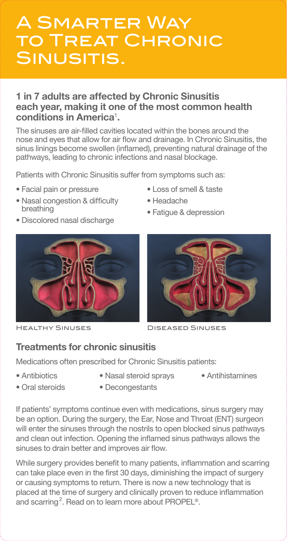# A Smarter Way to Treat Chronic SINUSITIS.

### **1 in 7 adults are affected by Chronic Sinusitis each year, making it one of the most common health conditions in America**<sup>1</sup> **.**

The sinuses are air-filled cavities located within the bones around the nose and eyes that allow for air flow and drainage. In Chronic Sinusitis, the sinus linings become swollen (inflamed), preventing natural drainage of the pathways, leading to chronic infections and nasal blockage.

Patients with Chronic Sinusitis suffer from symptoms such as:

- Facial pain or pressure
- Nasal congestion & difficulty breathing
- Discolored nasal discharge



- Loss of smell & taste
- Headache
- Fatigue & depression



Healthy Sinuses Diseased Sinuses

## **Treatments for chronic sinusitis**

Medications often prescribed for Chronic Sinusitis patients:

- Antibiotics
- Nasal steroid sprays
- Antihistamines

- Oral steroids
- Decongestants

If patients' symptoms continue even with medications, sinus surgery may be an option. During the surgery, the Ear, Nose and Throat (ENT) surgeon will enter the sinuses through the nostrils to open blocked sinus pathways and clean out infection. Opening the inflamed sinus pathways allows the sinuses to drain better and improves air flow.

While surgery provides benefit to many patients, inflammation and scarring can take place even in the first 30 days, diminishing the impact of surgery or causing symptoms to return. There is now a new technology that is placed at the time of surgery and clinically proven to reduce inflammation and scarring<sup>2</sup>. Read on to learn more about PROPEL<sup>®</sup>.